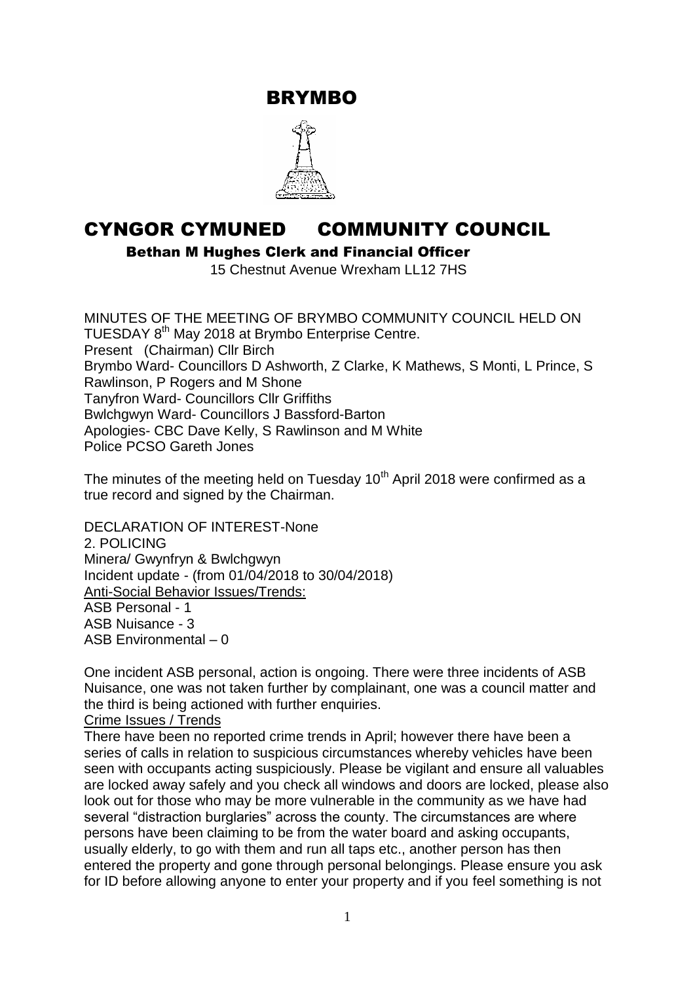BRYMBO



# CYNGOR CYMUNED COMMUNITY COUNCIL

Bethan M Hughes Clerk and Financial Officer

15 Chestnut Avenue Wrexham LL12 7HS

MINUTES OF THE MEETING OF BRYMBO COMMUNITY COUNCIL HELD ON TUESDAY 8<sup>th</sup> May 2018 at Brymbo Enterprise Centre. Present (Chairman) Cllr Birch Brymbo Ward- Councillors D Ashworth, Z Clarke, K Mathews, S Monti, L Prince, S Rawlinson, P Rogers and M Shone Tanyfron Ward- Councillors Cllr Griffiths Bwlchgwyn Ward- Councillors J Bassford-Barton Apologies- CBC Dave Kelly, S Rawlinson and M White Police PCSO Gareth Jones

The minutes of the meeting held on Tuesday  $10<sup>th</sup>$  April 2018 were confirmed as a true record and signed by the Chairman.

DECLARATION OF INTEREST-None 2. POLICING Minera/ Gwynfryn & Bwlchgwyn Incident update - (from 01/04/2018 to 30/04/2018) Anti-Social Behavior Issues/Trends: ASB Personal - 1 ASB Nuisance - 3 ASB Environmental – 0

One incident ASB personal, action is ongoing. There were three incidents of ASB Nuisance, one was not taken further by complainant, one was a council matter and the third is being actioned with further enquiries.

### Crime Issues / Trends

There have been no reported crime trends in April; however there have been a series of calls in relation to suspicious circumstances whereby vehicles have been seen with occupants acting suspiciously. Please be vigilant and ensure all valuables are locked away safely and you check all windows and doors are locked, please also look out for those who may be more vulnerable in the community as we have had several "distraction burglaries" across the county. The circumstances are where persons have been claiming to be from the water board and asking occupants, usually elderly, to go with them and run all taps etc., another person has then entered the property and gone through personal belongings. Please ensure you ask for ID before allowing anyone to enter your property and if you feel something is not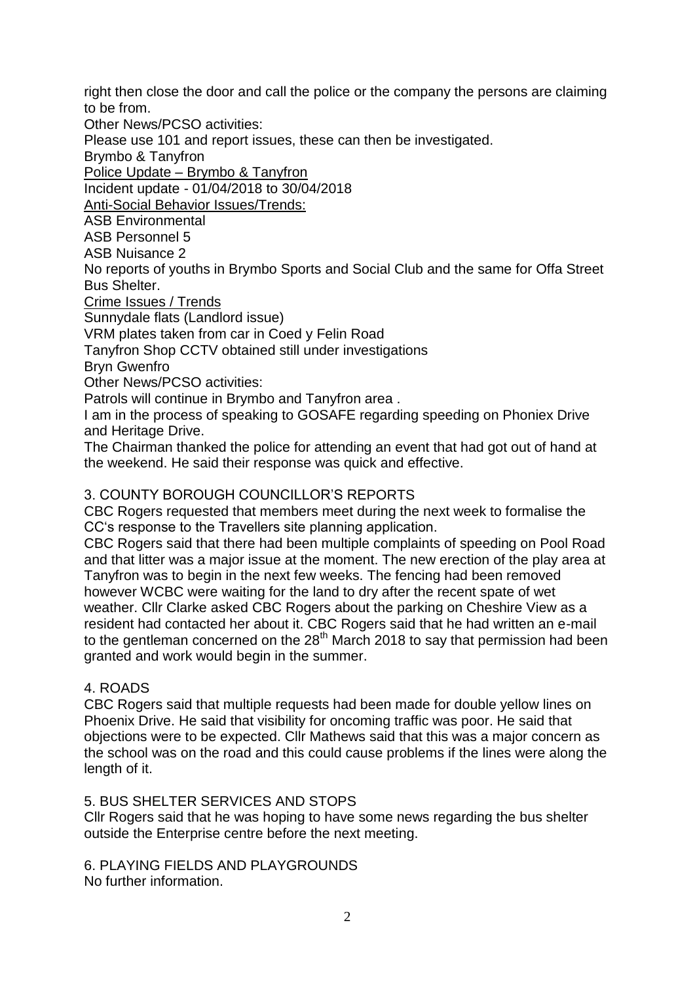right then close the door and call the police or the company the persons are claiming to be from.

Other News/PCSO activities:

Please use 101 and report issues, these can then be investigated.

Brymbo & Tanyfron

Police Update – Brymbo & Tanyfron

Incident update - 01/04/2018 to 30/04/2018

Anti-Social Behavior Issues/Trends:

ASB Environmental

ASB Personnel 5

ASB Nuisance 2

No reports of youths in Brymbo Sports and Social Club and the same for Offa Street Bus Shelter.

Crime Issues / Trends

Sunnydale flats (Landlord issue)

VRM plates taken from car in Coed y Felin Road

Tanyfron Shop CCTV obtained still under investigations

Bryn Gwenfro

Other News/PCSO activities:

Patrols will continue in Brymbo and Tanyfron area .

I am in the process of speaking to GOSAFE regarding speeding on Phoniex Drive and Heritage Drive.

The Chairman thanked the police for attending an event that had got out of hand at the weekend. He said their response was quick and effective.

## 3. COUNTY BOROUGH COUNCILLOR"S REPORTS

CBC Rogers requested that members meet during the next week to formalise the CC"s response to the Travellers site planning application.

CBC Rogers said that there had been multiple complaints of speeding on Pool Road and that litter was a major issue at the moment. The new erection of the play area at Tanyfron was to begin in the next few weeks. The fencing had been removed however WCBC were waiting for the land to dry after the recent spate of wet weather. Cllr Clarke asked CBC Rogers about the parking on Cheshire View as a resident had contacted her about it. CBC Rogers said that he had written an e-mail to the gentleman concerned on the  $28<sup>th</sup>$  March 2018 to say that permission had been granted and work would begin in the summer.

## 4. ROADS

CBC Rogers said that multiple requests had been made for double yellow lines on Phoenix Drive. He said that visibility for oncoming traffic was poor. He said that objections were to be expected. Cllr Mathews said that this was a major concern as the school was on the road and this could cause problems if the lines were along the length of it.

## 5. BUS SHELTER SERVICES AND STOPS

Cllr Rogers said that he was hoping to have some news regarding the bus shelter outside the Enterprise centre before the next meeting.

6. PLAYING FIELDS AND PLAYGROUNDS No further information.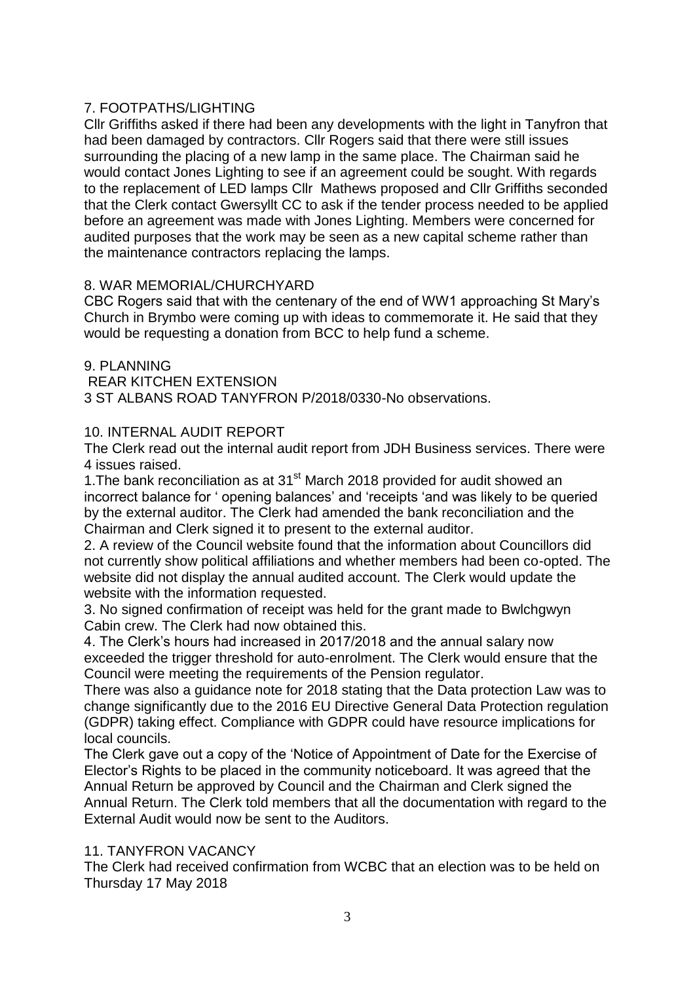## 7. FOOTPATHS/LIGHTING

Cllr Griffiths asked if there had been any developments with the light in Tanyfron that had been damaged by contractors. Cllr Rogers said that there were still issues surrounding the placing of a new lamp in the same place. The Chairman said he would contact Jones Lighting to see if an agreement could be sought. With regards to the replacement of LED lamps Cllr Mathews proposed and Cllr Griffiths seconded that the Clerk contact Gwersyllt CC to ask if the tender process needed to be applied before an agreement was made with Jones Lighting. Members were concerned for audited purposes that the work may be seen as a new capital scheme rather than the maintenance contractors replacing the lamps.

### 8. WAR MEMORIAL/CHURCHYARD

CBC Rogers said that with the centenary of the end of WW1 approaching St Mary"s Church in Brymbo were coming up with ideas to commemorate it. He said that they would be requesting a donation from BCC to help fund a scheme.

9. PLANNING REAR KITCHEN EXTENSION 3 ST ALBANS ROAD TANYFRON P/2018/0330-No observations.

### 10. INTERNAL AUDIT REPORT

The Clerk read out the internal audit report from JDH Business services. There were 4 issues raised.

1. The bank reconciliation as at 31<sup>st</sup> March 2018 provided for audit showed an incorrect balance for " opening balances" and "receipts "and was likely to be queried by the external auditor. The Clerk had amended the bank reconciliation and the Chairman and Clerk signed it to present to the external auditor.

2. A review of the Council website found that the information about Councillors did not currently show political affiliations and whether members had been co-opted. The website did not display the annual audited account. The Clerk would update the website with the information requested.

3. No signed confirmation of receipt was held for the grant made to Bwlchgwyn Cabin crew. The Clerk had now obtained this.

4. The Clerk"s hours had increased in 2017/2018 and the annual salary now exceeded the trigger threshold for auto-enrolment. The Clerk would ensure that the Council were meeting the requirements of the Pension regulator.

There was also a guidance note for 2018 stating that the Data protection Law was to change significantly due to the 2016 EU Directive General Data Protection regulation (GDPR) taking effect. Compliance with GDPR could have resource implications for local councils.

The Clerk gave out a copy of the "Notice of Appointment of Date for the Exercise of Elector"s Rights to be placed in the community noticeboard. It was agreed that the Annual Return be approved by Council and the Chairman and Clerk signed the Annual Return. The Clerk told members that all the documentation with regard to the External Audit would now be sent to the Auditors.

### 11. TANYFRON VACANCY

The Clerk had received confirmation from WCBC that an election was to be held on Thursday 17 May 2018